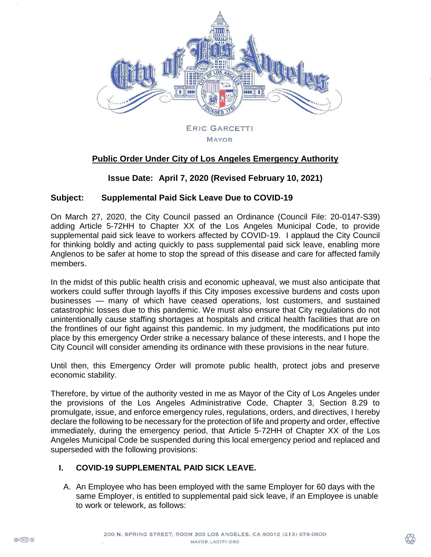

# **Public Order Under City of Los Angeles Emergency Authority**

**MAYOR** 

# **Issue Date: April 7, 2020 (Revised February 10, 2021)**

#### **Subject: Supplemental Paid Sick Leave Due to COVID-19**

On March 27, 2020, the City Council passed an Ordinance (Council File: 20-0147-S39) adding Article 5-72HH to Chapter XX of the Los Angeles Municipal Code, to provide supplemental paid sick leave to workers affected by COVID-19. I applaud the City Council for thinking boldly and acting quickly to pass supplemental paid sick leave, enabling more Anglenos to be safer at home to stop the spread of this disease and care for affected family members.

In the midst of this public health crisis and economic upheaval, we must also anticipate that workers could suffer through layoffs if this City imposes excessive burdens and costs upon businesses — many of which have ceased operations, lost customers, and sustained catastrophic losses due to this pandemic. We must also ensure that City regulations do not unintentionally cause staffing shortages at hospitals and critical health facilities that are on the frontlines of our fight against this pandemic. In my judgment, the modifications put into place by this emergency Order strike a necessary balance of these interests, and I hope the City Council will consider amending its ordinance with these provisions in the near future.

Until then, this Emergency Order will promote public health, protect jobs and preserve economic stability.

Therefore, by virtue of the authority vested in me as Mayor of the City of Los Angeles under the provisions of the Los Angeles Administrative Code, Chapter 3, Section 8.29 to promulgate, issue, and enforce emergency rules, regulations, orders, and directives, I hereby declare the following to be necessary for the protection of life and property and order, effective immediately, during the emergency period, that Article 5-72HH of Chapter XX of the Los Angeles Municipal Code be suspended during this local emergency period and replaced and superseded with the following provisions:

# **I. COVID-19 SUPPLEMENTAL PAID SICK LEAVE.**

A. An Employee who has been employed with the same Employer for 60 days with the same Employer, is entitled to supplemental paid sick leave, if an Employee is unable to work or telework, as follows: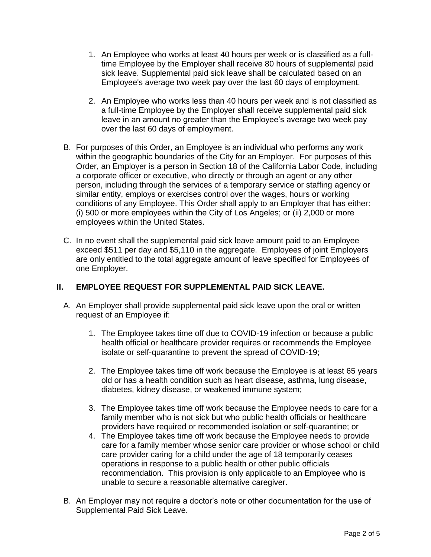- 1. An Employee who works at least 40 hours per week or is classified as a fulltime Employee by the Employer shall receive 80 hours of supplemental paid sick leave. Supplemental paid sick leave shall be calculated based on an Employee's average two week pay over the last 60 days of employment.
- 2. An Employee who works less than 40 hours per week and is not classified as a full-time Employee by the Employer shall receive supplemental paid sick leave in an amount no greater than the Employee's average two week pay over the last 60 days of employment.
- B. For purposes of this Order, an Employee is an individual who performs any work within the geographic boundaries of the City for an Employer. For purposes of this Order, an Employer is a person in Section 18 of the California Labor Code, including a corporate officer or executive, who directly or through an agent or any other person, including through the services of a temporary service or staffing agency or similar entity, employs or exercises control over the wages, hours or working conditions of any Employee. This Order shall apply to an Employer that has either: (i) 500 or more employees within the City of Los Angeles; or (ii) 2,000 or more employees within the United States.
- C. In no event shall the supplemental paid sick leave amount paid to an Employee exceed \$511 per day and \$5,110 in the aggregate. Employees of joint Employers are only entitled to the total aggregate amount of leave specified for Employees of one Employer.

# **II. EMPLOYEE REQUEST FOR SUPPLEMENTAL PAID SICK LEAVE.**

- A. An Employer shall provide supplemental paid sick leave upon the oral or written request of an Employee if:
	- 1. The Employee takes time off due to COVID-19 infection or because a public health official or healthcare provider requires or recommends the Employee isolate or self-quarantine to prevent the spread of COVID-19;
	- 2. The Employee takes time off work because the Employee is at least 65 years old or has a health condition such as heart disease, asthma, lung disease, diabetes, kidney disease, or weakened immune system;
	- 3. The Employee takes time off work because the Employee needs to care for a family member who is not sick but who public health officials or healthcare providers have required or recommended isolation or self-quarantine; or
	- 4. The Employee takes time off work because the Employee needs to provide care for a family member whose senior care provider or whose school or child care provider caring for a child under the age of 18 temporarily ceases operations in response to a public health or other public officials recommendation. This provision is only applicable to an Employee who is unable to secure a reasonable alternative caregiver.
- B. An Employer may not require a doctor's note or other documentation for the use of Supplemental Paid Sick Leave.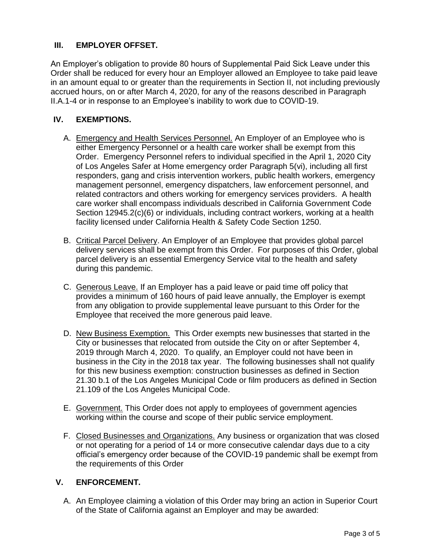# **III. EMPLOYER OFFSET.**

An Employer's obligation to provide 80 hours of Supplemental Paid Sick Leave under this Order shall be reduced for every hour an Employer allowed an Employee to take paid leave in an amount equal to or greater than the requirements in Section II, not including previously accrued hours, on or after March 4, 2020, for any of the reasons described in Paragraph II.A.1-4 or in response to an Employee's inability to work due to COVID-19.

### **IV. EXEMPTIONS.**

- A. Emergency and Health Services Personnel. An Employer of an Employee who is either Emergency Personnel or a health care worker shall be exempt from this Order. Emergency Personnel refers to individual specified in the April 1, 2020 City of Los Angeles Safer at Home emergency order Paragraph 5(vi), including all first responders, gang and crisis intervention workers, public health workers, emergency management personnel, emergency dispatchers, law enforcement personnel, and related contractors and others working for emergency services providers. A health care worker shall encompass individuals described in California Government Code Section 12945.2(c)(6) or individuals, including contract workers, working at a health facility licensed under California Health & Safety Code Section 1250.
- B. Critical Parcel Delivery. An Employer of an Employee that provides global parcel delivery services shall be exempt from this Order. For purposes of this Order, global parcel delivery is an essential Emergency Service vital to the health and safety during this pandemic.
- C. Generous Leave. If an Employer has a paid leave or paid time off policy that provides a minimum of 160 hours of paid leave annually, the Employer is exempt from any obligation to provide supplemental leave pursuant to this Order for the Employee that received the more generous paid leave.
- D. New Business Exemption. This Order exempts new businesses that started in the City or businesses that relocated from outside the City on or after September 4, 2019 through March 4, 2020. To qualify, an Employer could not have been in business in the City in the 2018 tax year. The following businesses shall not qualify for this new business exemption: construction businesses as defined in Section 21.30 b.1 of the Los Angeles Municipal Code or film producers as defined in Section 21.109 of the Los Angeles Municipal Code.
- E. Government. This Order does not apply to employees of government agencies working within the course and scope of their public service employment.
- F. Closed Businesses and Organizations. Any business or organization that was closed or not operating for a period of 14 or more consecutive calendar days due to a city official's emergency order because of the COVID-19 pandemic shall be exempt from the requirements of this Order

#### **V. ENFORCEMENT.**

A. An Employee claiming a violation of this Order may bring an action in Superior Court of the State of California against an Employer and may be awarded: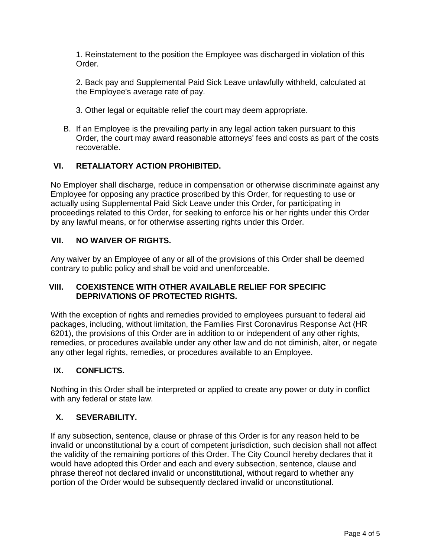1. Reinstatement to the position the Employee was discharged in violation of this Order.

2. Back pay and Supplemental Paid Sick Leave unlawfully withheld, calculated at the Employee's average rate of pay.

- 3. Other legal or equitable relief the court may deem appropriate.
- B. If an Employee is the prevailing party in any legal action taken pursuant to this Order, the court may award reasonable attorneys' fees and costs as part of the costs recoverable.

## **VI. RETALIATORY ACTION PROHIBITED.**

No Employer shall discharge, reduce in compensation or otherwise discriminate against any Employee for opposing any practice proscribed by this Order, for requesting to use or actually using Supplemental Paid Sick Leave under this Order, for participating in proceedings related to this Order, for seeking to enforce his or her rights under this Order by any lawful means, or for otherwise asserting rights under this Order.

#### **VII. NO WAIVER OF RIGHTS.**

Any waiver by an Employee of any or all of the provisions of this Order shall be deemed contrary to public policy and shall be void and unenforceable.

## **VIII. COEXISTENCE WITH OTHER AVAILABLE RELIEF FOR SPECIFIC DEPRIVATIONS OF PROTECTED RIGHTS.**

With the exception of rights and remedies provided to employees pursuant to federal aid packages, including, without limitation, the Families First Coronavirus Response Act (HR 6201), the provisions of this Order are in addition to or independent of any other rights, remedies, or procedures available under any other law and do not diminish, alter, or negate any other legal rights, remedies, or procedures available to an Employee.

# **IX. CONFLICTS.**

Nothing in this Order shall be interpreted or applied to create any power or duty in conflict with any federal or state law.

#### **X. SEVERABILITY.**

If any subsection, sentence, clause or phrase of this Order is for any reason held to be invalid or unconstitutional by a court of competent jurisdiction, such decision shall not affect the validity of the remaining portions of this Order. The City Council hereby declares that it would have adopted this Order and each and every subsection, sentence, clause and phrase thereof not declared invalid or unconstitutional, without regard to whether any portion of the Order would be subsequently declared invalid or unconstitutional.